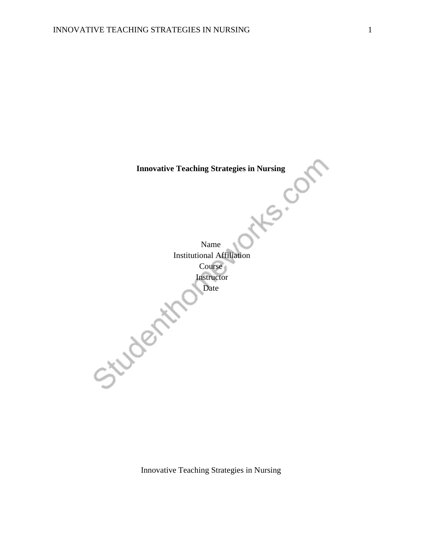**Innovative Teaching Strategies in Nursing<br>
Strategies in Nursing<br>
Strategies in Nursing<br>
Strategies in Nursing<br>
Strategies in Nursing<br>
Strategies in Nursing<br>
Strategies in Nursing<br>
Strategies in Nursing<br>
Strategies in Nur** 

Name Institutional Affiliation Course Instructor<br>Date<br>Control Date Date

Innovative Teaching Strategies in Nursing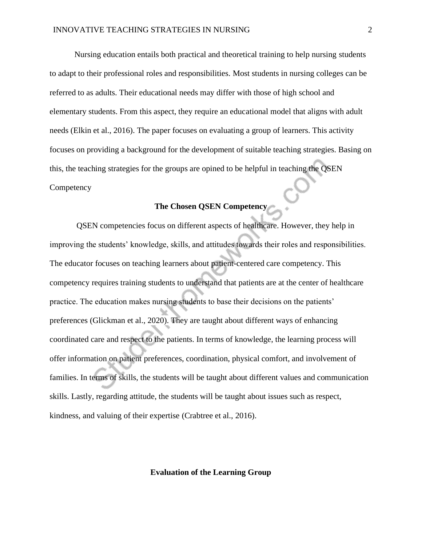Nursing education entails both practical and theoretical training to help nursing students to adapt to their professional roles and responsibilities. Most students in nursing colleges can be referred to as adults. Their educational needs may differ with those of high school and elementary students. From this aspect, they require an educational model that aligns with adult needs (Elkin et al., 2016). The paper focuses on evaluating a group of learners. This activity focuses on providing a background for the development of suitable teaching strategies. Basing on this, the teaching strategies for the groups are opined to be helpful in teaching the QSEN **Competency** 

# **The Chosen QSEN Competency**

QSEN competencies focus on different aspects of healthcare. However, they help in improving the students' knowledge, skills, and attitudes towards their roles and responsibilities. The educator focuses on teaching learners about patient-centered care competency. This competency requires training students to understand that patients are at the center of healthcare practice. The education makes nursing students to base their decisions on the patients' preferences (Glickman et al., 2020). They are taught about different ways of enhancing coordinated care and respect to the patients. In terms of knowledge, the learning process will offer information on patient preferences, coordination, physical comfort, and involvement of families. In terms of skills, the students will be taught about different values and communication skills. Lastly, regarding attitude, the students will be taught about issues such as respect, kindness, and valuing of their expertise (Crabtree et al., 2016).

#### **Evaluation of the Learning Group**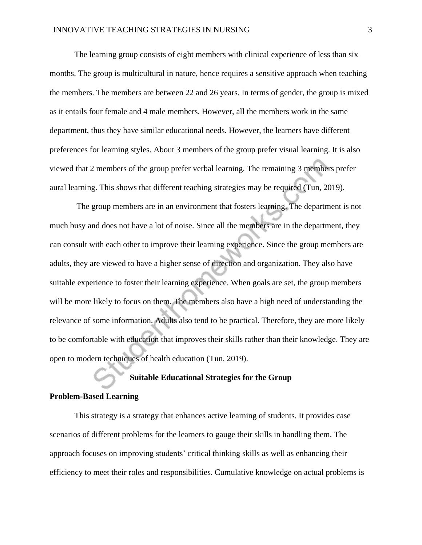The learning group consists of eight members with clinical experience of less than six months. The group is multicultural in nature, hence requires a sensitive approach when teaching the members. The members are between 22 and 26 years. In terms of gender, the group is mixed as it entails four female and 4 male members. However, all the members work in the same department, thus they have similar educational needs. However, the learners have different preferences for learning styles. About 3 members of the group prefer visual learning. It is also viewed that 2 members of the group prefer verbal learning. The remaining 3 members prefer aural learning. This shows that different teaching strategies may be required (Tun, 2019).

The group members are in an environment that fosters learning. The department is not much busy and does not have a lot of noise. Since all the members are in the department, they can consult with each other to improve their learning experience. Since the group members are adults, they are viewed to have a higher sense of direction and organization. They also have suitable experience to foster their learning experience. When goals are set, the group members will be more likely to focus on them. The members also have a high need of understanding the relevance of some information. Adults also tend to be practical. Therefore, they are more likely to be comfortable with education that improves their skills rather than their knowledge. They are open to modern techniques of health education (Tun, 2019).

# **Suitable Educational Strategies for the Group**

#### **Problem-Based Learning**

This strategy is a strategy that enhances active learning of students. It provides case scenarios of different problems for the learners to gauge their skills in handling them. The approach focuses on improving students' critical thinking skills as well as enhancing their efficiency to meet their roles and responsibilities. Cumulative knowledge on actual problems is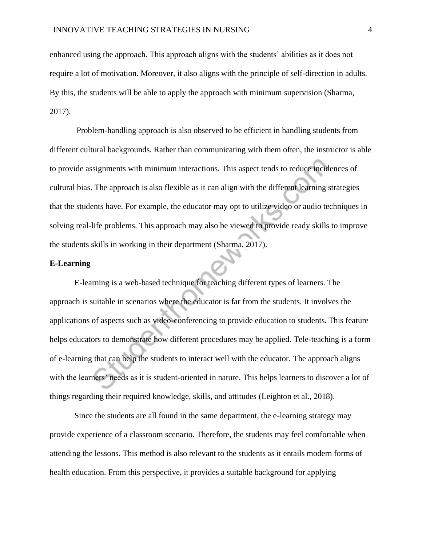enhanced using the approach. This approach aligns with the students' abilities as it does not require a lot of motivation. Moreover, it also aligns with the principle of self-direction in adults. By this, the students will be able to apply the approach with minimum supervision (Sharma, 2017).

Problem-handling approach is also observed to be efficient in handling students from different cultural backgrounds. Rather than communicating with them often, the instructor is able to provide assignments with minimum interactions. This aspect tends to reduce incidences of cultural bias. The approach is also flexible as it can align with the different learning strategies that the students have. For example, the educator may opt to utilize video or audio techniques in solving real-life problems. This approach may also be viewed to provide ready skills to improve the students skills in working in their department (Sharma, 2017).

## **E-Learning**

E-learning is a web-based technique for teaching different types of learners. The approach is suitable in scenarios where the educator is far from the students. It involves the applications of aspects such as video-conferencing to provide education to students. This feature helps educators to demonstrate how different procedures may be applied. Tele-teaching is a form of e-learning that can help the students to interact well with the educator. The approach aligns with the learners' needs as it is student-oriented in nature. This helps learners to discover a lot of things regarding their required knowledge, skills, and attitudes (Leighton et al., 2018).

Since the students are all found in the same department, the e-learning strategy may provide experience of a classroom scenario. Therefore, the students may feel comfortable when attending the lessons. This method is also relevant to the students as it entails modern forms of health education. From this perspective, it provides a suitable background for applying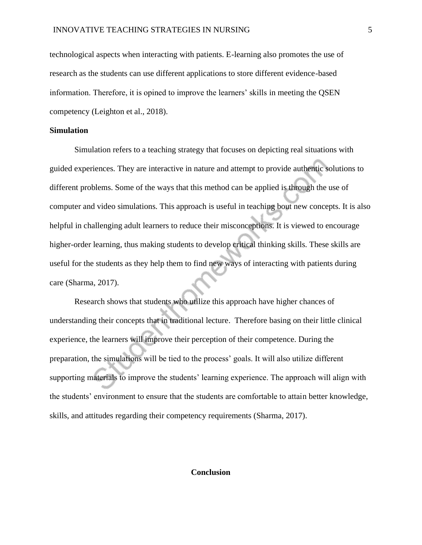technological aspects when interacting with patients. E-learning also promotes the use of research as the students can use different applications to store different evidence-based information. Therefore, it is opined to improve the learners' skills in meeting the QSEN competency (Leighton et al., 2018).

## **Simulation**

Simulation refers to a teaching strategy that focuses on depicting real situations with guided experiences. They are interactive in nature and attempt to provide authentic solutions to different problems. Some of the ways that this method can be applied is through the use of computer and video simulations. This approach is useful in teaching bout new concepts. It is also helpful in challenging adult learners to reduce their misconceptions. It is viewed to encourage higher-order learning, thus making students to develop critical thinking skills. These skills are useful for the students as they help them to find new ways of interacting with patients during care (Sharma, 2017).

Research shows that students who utilize this approach have higher chances of understanding their concepts that in traditional lecture. Therefore basing on their little clinical experience, the learners will improve their perception of their competence. During the preparation, the simulations will be tied to the process' goals. It will also utilize different supporting materials to improve the students' learning experience. The approach will align with the students' environment to ensure that the students are comfortable to attain better knowledge, skills, and attitudes regarding their competency requirements (Sharma, 2017).

#### **Conclusion**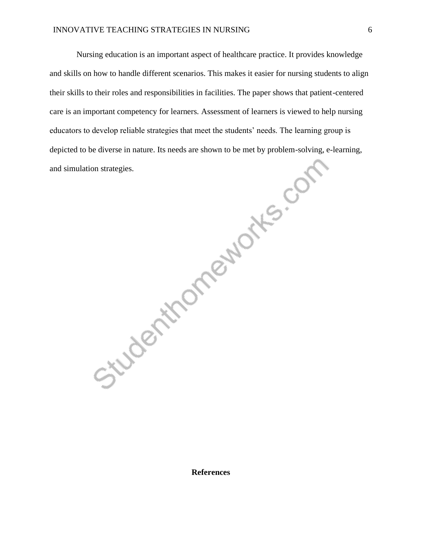Nursing education is an important aspect of healthcare practice. It provides knowledge and skills on how to handle different scenarios. This makes it easier for nursing students to align their skills to their roles and responsibilities in facilities. The paper shows that patient-centered care is an important competency for learners. Assessment of learners is viewed to help nursing educators to develop reliable strategies that meet the students' needs. The learning group is depicted to be diverse in nature. Its needs are shown to be met by problem-solving, e-learning,<br>and simulation strategies.<br>and simulation strategies. and simulation strategies.

**References**